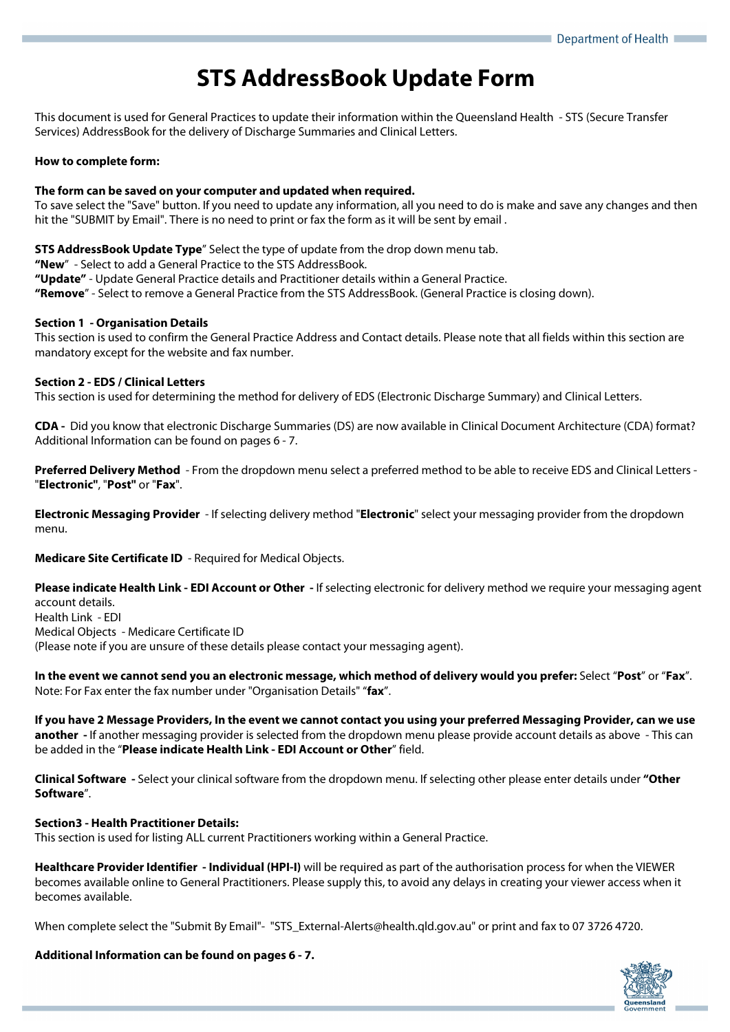# **STS AddressBook Update Form**

This document is used for General Practices to update their information within the Queensland Health - STS (Secure Transfer Services) AddressBook for the delivery of Discharge Summaries and Clinical Letters.

# **How to complete form:**

# **The form can be saved on your computer and updated when required.**

To save select the "Save" button. If you need to update any information, all you need to do is make and save any changes and then hit the "SUBMIT by Email". There is no need to print or fax the form as it will be sent by email .

**STS AddressBook Update Type**" Select the type of update from the drop down menu tab.

**"New**" - Select to add a General Practice to the STS AddressBook.

**"Update"** - Update General Practice details and Practitioner details within a General Practice.

**"Remove**" - Select to remove a General Practice from the STS AddressBook. (General Practice is closing down).

# **Section 1 - Organisation Details**

This section is used to confirm the General Practice Address and Contact details. Please note that all fields within this section are mandatory except for the website and fax number.

# **Section 2 - EDS / Clinical Letters**

This section is used for determining the method for delivery of EDS (Electronic Discharge Summary) and Clinical Letters.

**CDA -** Did you know that electronic Discharge Summaries (DS) are now available in Clinical Document Architecture (CDA) format? Additional Information can be found on pages 6 - 7.

**Preferred Delivery Method** - From the dropdown menu select a preferred method to be able to receive EDS and Clinical Letters - "**Electronic"**, "**Post"** or "**Fax**".

**Electronic Messaging Provider** - If selecting delivery method "**Electronic**" select your messaging provider from the dropdown menu.

**Medicare Site Certificate ID** - Required for Medical Objects.

**Please indicate Health Link - EDI Account or Other -** If selecting electronic for delivery method we require your messaging agent account details. Health Link - EDI

Medical Objects - Medicare Certificate ID

(Please note if you are unsure of these details please contact your messaging agent).

**In the event we cannot send you an electronic message, which method of delivery would you prefer:** Select "**Post**" or "**Fax**". Note: For Fax enter the fax number under "Organisation Details" "**fax**".

**If you have 2 Message Providers, In the event we cannot contact you using your preferred Messaging Provider, can we use another -** If another messaging provider is selected from the dropdown menu please provide account details as above - This can be added in the "**Please indicate Health Link - EDI Account or Other**" field.

**Clinical Software -** Select your clinical software from the dropdown menu. If selecting other please enter details under **"Other Software**".

# **Section3 - Health Practitioner Details:**

This section is used for listing ALL current Practitioners working within a General Practice.

**Healthcare Provider Identifier - Individual (HPI-I)** will be required as part of the authorisation process for when the VIEWER becomes available online to General Practitioners. Please supply this, to avoid any delays in creating your viewer access when it becomes available.

When complete select the "Submit By Email"- "STS External-Alerts@health.qld.gov.au" or print and fax to 07 3726 4720.

**Additional Information can be found on pages 6 - 7.**

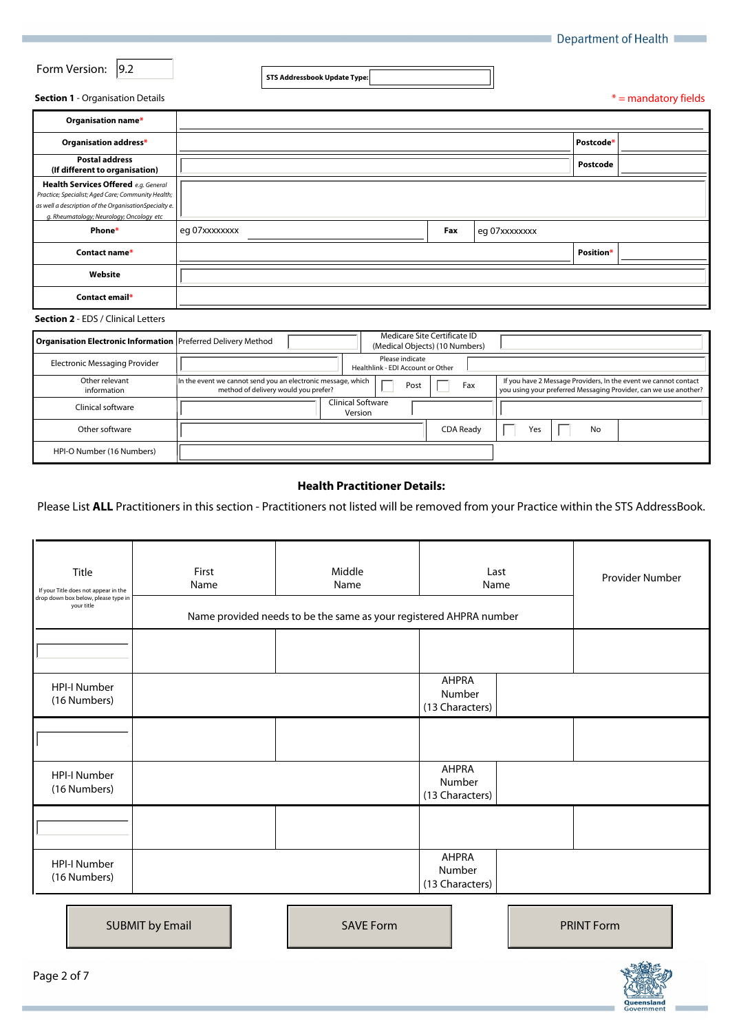| Department of Health |  |
|----------------------|--|
|----------------------|--|

|  |  | Form Version: 9.2 |  |
|--|--|-------------------|--|
|--|--|-------------------|--|

**STS Addressbook Update Type:**

 $\overline{\mathbf{r}}$ 

 $*$  = mandatory fields

**Contract Contract** 

#### **Section 1** - Organisation Details

| Organisation name*                                                                                                                                                                              |               |     |               |           |                      |
|-------------------------------------------------------------------------------------------------------------------------------------------------------------------------------------------------|---------------|-----|---------------|-----------|----------------------|
| Organisation address*                                                                                                                                                                           |               |     |               | Postcode* |                      |
| <b>Postal address</b><br>(If different to organisation)                                                                                                                                         |               |     |               | Postcode  |                      |
| Health Services Offered e.g. General<br>Practice; Specialist; Aged Care; Community Health;<br>as well a description of the OrganisationSpecialty e.<br>g. Rheumatology; Neurology; Oncology etc |               |     |               |           |                      |
| Phone*                                                                                                                                                                                          | eg 07xxxxxxxx | Fax | eg 07xxxxxxxx |           |                      |
| Contact name*                                                                                                                                                                                   |               |     |               | Position* | $\blacktriangledown$ |
| Website                                                                                                                                                                                         |               |     |               |           |                      |
| Contact email*                                                                                                                                                                                  |               |     |               |           |                      |
| <b>Section 2 - EDS / Clinical Letters</b>                                                                                                                                                       |               |     |               |           |                      |

| Organisation Electronic Information Preferred Delivery Method |                                                                                                      |                              |                                                      |      | Medicare Site Certificate ID<br>(Medical Objects) (10 Numbers) |     |    |                                                                                                                                     |
|---------------------------------------------------------------|------------------------------------------------------------------------------------------------------|------------------------------|------------------------------------------------------|------|----------------------------------------------------------------|-----|----|-------------------------------------------------------------------------------------------------------------------------------------|
| Electronic Messaging Provider                                 |                                                                                                      |                              | Please indicate<br>Healthlink - EDI Account or Other |      |                                                                |     |    |                                                                                                                                     |
| Other relevant<br>information                                 | In the event we cannot send you an electronic message, which<br>method of delivery would you prefer? |                              |                                                      | Post | Fax                                                            |     |    | If you have 2 Message Providers, In the event we cannot contact<br>you using your preferred Messaging Provider, can we use another? |
| Clinical software                                             |                                                                                                      | Clinical Software<br>Version |                                                      |      |                                                                |     |    |                                                                                                                                     |
| Other software                                                |                                                                                                      |                              |                                                      |      | CDA Ready                                                      | Yes | No |                                                                                                                                     |
| HPI-O Number (16 Numbers)                                     |                                                                                                      |                              |                                                      |      |                                                                |     |    |                                                                                                                                     |

# **Health Practitioner Details:**

Please List **ALL** Practitioners in this section - Practitioners not listed will be removed from your Practice within the STS AddressBook.

| Title<br>If your Title does not appear in the<br>drop down box below, please type in<br>your title | First<br>Name | Middle<br>Name<br>Name provided needs to be the same as your registered AHPRA number | Last<br>Name                              | Provider Number |
|----------------------------------------------------------------------------------------------------|---------------|--------------------------------------------------------------------------------------|-------------------------------------------|-----------------|
| $\vert \mathbf{v} \vert$                                                                           |               |                                                                                      |                                           |                 |
| <b>HPI-I Number</b><br>(16 Numbers)                                                                |               |                                                                                      | <b>AHPRA</b><br>Number<br>(13 Characters) |                 |
| $\vert$                                                                                            |               |                                                                                      |                                           |                 |
| <b>HPI-I Number</b><br>(16 Numbers)                                                                |               |                                                                                      | AHPRA<br>Number<br>(13 Characters)        |                 |
| $\blacktriangleleft$                                                                               |               |                                                                                      |                                           |                 |
| <b>HPI-I Number</b><br>(16 Numbers)                                                                |               |                                                                                      | AHPRA<br>Number<br>(13 Characters)        |                 |

| <b>SUBMIT by Email</b> |  | <b>SAVE Form</b> |  | <b>PRINT Form</b> |
|------------------------|--|------------------|--|-------------------|
|------------------------|--|------------------|--|-------------------|

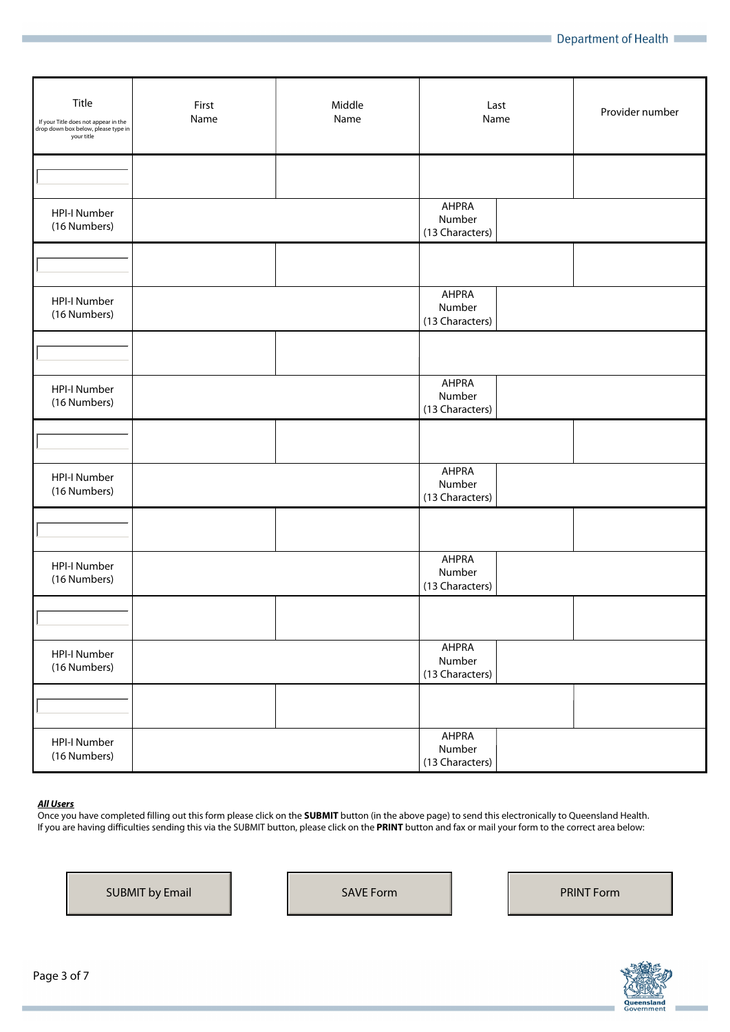| Title<br>If your Title does not appear in the<br>drop down box below, please type in<br>your title | First<br>Name | Middle<br>Name | Last<br>Name                              | Provider number |
|----------------------------------------------------------------------------------------------------|---------------|----------------|-------------------------------------------|-----------------|
| $\vert \blacktriangledown \vert$                                                                   |               |                |                                           |                 |
| <b>HPI-I Number</b><br>(16 Numbers)                                                                |               |                | AHPRA<br>Number<br>(13 Characters)        |                 |
| $\Box$                                                                                             |               |                |                                           |                 |
| <b>HPI-I Number</b><br>(16 Numbers)                                                                |               |                | <b>AHPRA</b><br>Number<br>(13 Characters) |                 |
| $\boxed{\blacksquare}$                                                                             |               |                |                                           |                 |
| <b>HPI-I Number</b><br>(16 Numbers)                                                                |               |                | <b>AHPRA</b><br>Number<br>(13 Characters) |                 |
| $\boxed{\blacksquare}$                                                                             |               |                |                                           |                 |
| <b>HPI-I Number</b><br>(16 Numbers)                                                                |               |                | <b>AHPRA</b><br>Number<br>(13 Characters) |                 |
| $\boxed{\blacksquare}$                                                                             |               |                |                                           |                 |
| HPI-I Number<br>(16 Numbers)                                                                       |               |                | <b>AHPRA</b><br>Number<br>(13 Characters) |                 |
| $\boxed{\mathbf{r}}$                                                                               |               |                |                                           |                 |
| <b>HPI-I Number</b><br>(16 Numbers)                                                                |               |                | <b>AHPRA</b><br>Number<br>(13 Characters) |                 |
| $\overline{\mathbf{z}}$                                                                            |               |                |                                           |                 |
| HPI-I Number<br>(16 Numbers)                                                                       |               |                | AHPRA<br>Number<br>(13 Characters)        |                 |

# *All Users*

Once you have completed filling out this form please click on the **SUBMIT** button (in the above page) to send this electronically to Queensland Health. If you are having difficulties sending this via the SUBMIT button, please click on the **PRINT** button and fax or mail your form to the correct area below:

SUBMIT by Email SAVE Form PRINT Form

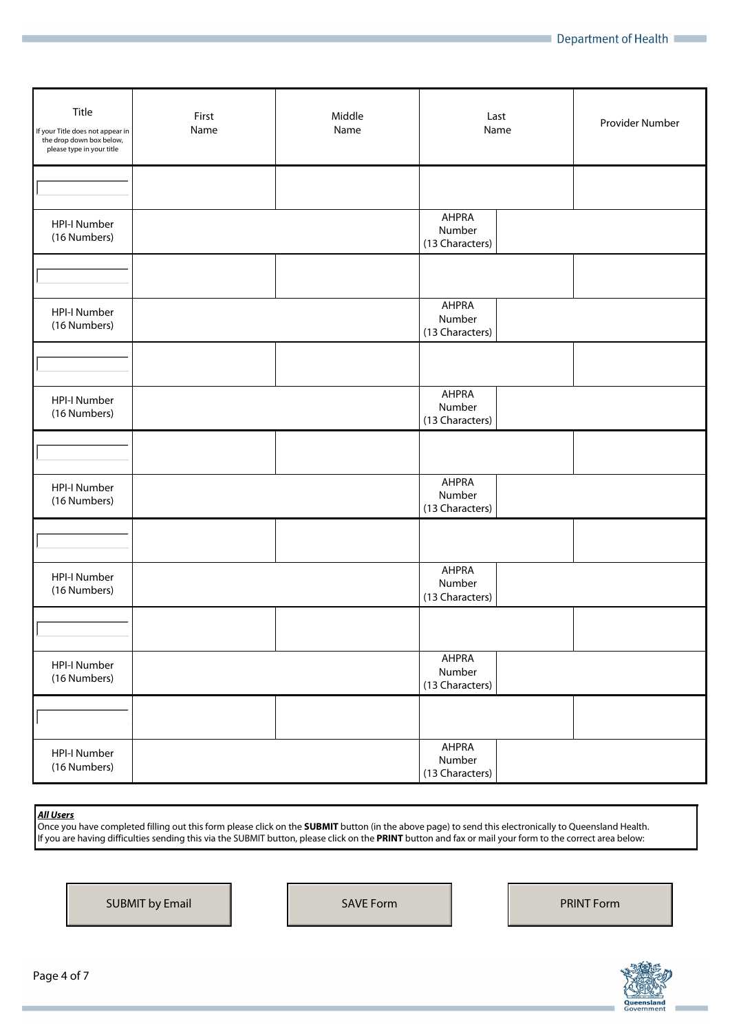| Title<br>If your Title does not appear in<br>the drop down box below,<br>please type in your title | First<br>Name | Middle<br>Name | Last<br>Name                              | Provider Number |
|----------------------------------------------------------------------------------------------------|---------------|----------------|-------------------------------------------|-----------------|
| $\vert \blacktriangledown \vert$                                                                   |               |                |                                           |                 |
| <b>HPI-I Number</b><br>(16 Numbers)                                                                |               |                | <b>AHPRA</b><br>Number<br>(13 Characters) |                 |
| $\boxed{\mathbf{r}}$                                                                               |               |                |                                           |                 |
| <b>HPI-I Number</b><br>(16 Numbers)                                                                |               |                | <b>AHPRA</b><br>Number<br>(13 Characters) |                 |
| $\boxed{\blacksquare}$                                                                             |               |                |                                           |                 |
| <b>HPI-I Number</b><br>(16 Numbers)                                                                |               |                | <b>AHPRA</b><br>Number<br>(13 Characters) |                 |
| $\boxed{\blacksquare}$                                                                             |               |                |                                           |                 |
| HPI-I Number<br>(16 Numbers)                                                                       |               |                | <b>AHPRA</b><br>Number<br>(13 Characters) |                 |
| $\boxed{\mathbf{r}}$                                                                               |               |                |                                           |                 |
| HPI-I Number<br>(16 Numbers)                                                                       |               |                | <b>AHPRA</b><br>Number<br>(13 Characters) |                 |
| $\boxed{\mathbf{v}}$                                                                               |               |                |                                           |                 |
| HPI-I Number<br>(16 Numbers)                                                                       |               |                | <b>AHPRA</b><br>Number<br>(13 Characters) |                 |
| $\overline{\mathbf{z}}$                                                                            |               |                |                                           |                 |
| HPI-I Number<br>(16 Numbers)                                                                       |               |                | AHPRA<br>Number<br>(13 Characters)        |                 |

*All Users* 

Once you have completed filling out this form please click on the **SUBMIT** button (in the above page) to send this electronically to Queensland Health. If you are having difficulties sending this via the SUBMIT button, please click on the **PRINT** button and fax or mail your form to the correct area below:

SUBMIT by Email SAVE Form PRINT Form

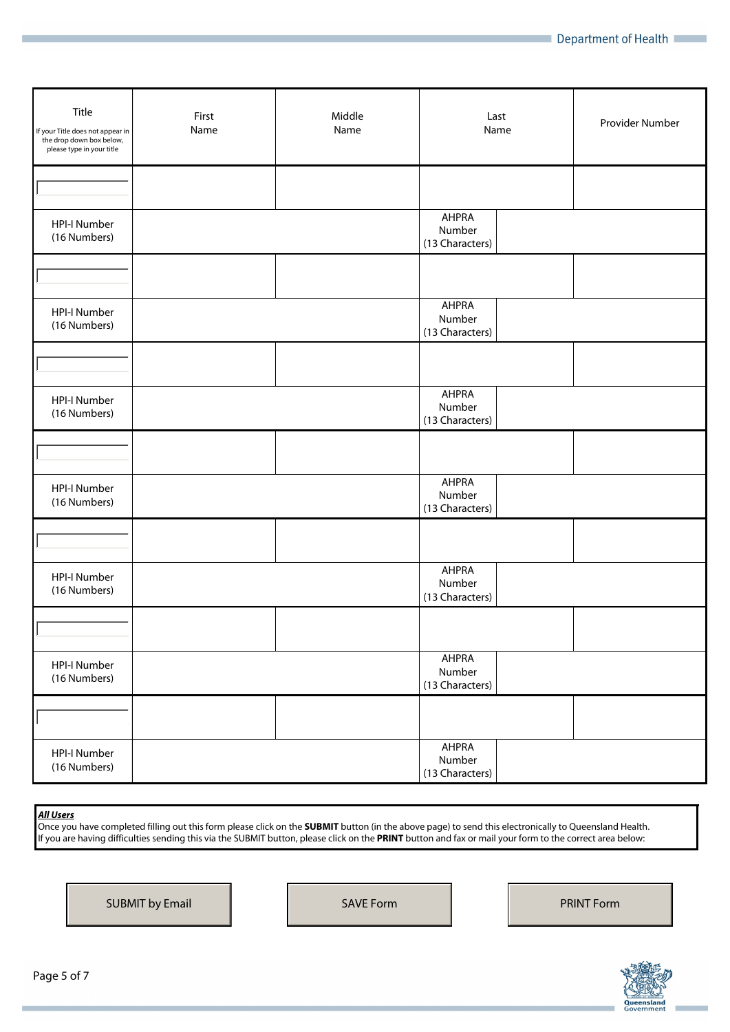| Title<br>If your Title does not appear in<br>the drop down box below,<br>please type in your title | First<br>Name | Middle<br>Name | Last<br>Name                              | Provider Number |
|----------------------------------------------------------------------------------------------------|---------------|----------------|-------------------------------------------|-----------------|
| $\blacktriangleright$                                                                              |               |                |                                           |                 |
| <b>HPI-I Number</b><br>(16 Numbers)                                                                |               |                | <b>AHPRA</b><br>Number<br>(13 Characters) |                 |
| $\boxed{\blacksquare}$                                                                             |               |                |                                           |                 |
| <b>HPI-I Number</b><br>(16 Numbers)                                                                |               |                | <b>AHPRA</b><br>Number<br>(13 Characters) |                 |
| $\boxed{\mathbf{r}}$                                                                               |               |                |                                           |                 |
| <b>HPI-I Number</b><br>(16 Numbers)                                                                |               |                | <b>AHPRA</b><br>Number<br>(13 Characters) |                 |
| $\boxed{\mathbf{r}}$                                                                               |               |                |                                           |                 |
| <b>HPI-I Number</b><br>(16 Numbers)                                                                |               |                | <b>AHPRA</b><br>Number<br>(13 Characters) |                 |
| $\boxed{\mathbf{r}}$                                                                               |               |                |                                           |                 |
| HPI-I Number<br>(16 Numbers)                                                                       |               |                | <b>AHPRA</b><br>Number<br>(13 Characters) |                 |
| $\boxed{\mathbf{r}}$                                                                               |               |                |                                           |                 |
| HPI-I Number<br>(16 Numbers)                                                                       |               |                | <b>AHPRA</b><br>Number<br>(13 Characters) |                 |
| $\overline{\mathbf{z}}$                                                                            |               |                |                                           |                 |
| HPI-I Number<br>(16 Numbers)                                                                       |               |                | AHPRA<br>Number<br>(13 Characters)        |                 |

*All Users* 

Once you have completed filling out this form please click on the **SUBMIT** button (in the above page) to send this electronically to Queensland Health. If you are having difficulties sending this via the SUBMIT button, please click on the **PRINT** button and fax or mail your form to the correct area below:

SUBMIT by Email SAVE Form PRINT Form

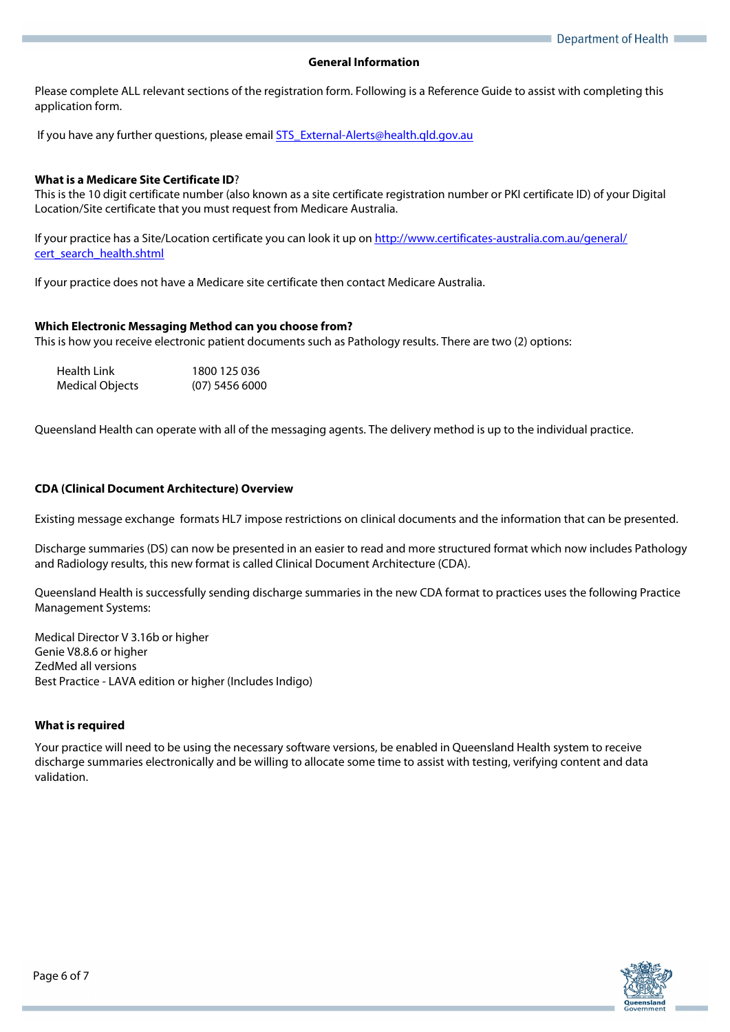#### **General Information**

Please complete ALL relevant sections of the registration form. Following is a Reference Guide to assist with completing this application form.

If you have any further questions, please email **STS\_External-Alerts@health.qld.gov.au** 

## **What is a Medicare Site Certificate ID**?

This is the 10 digit certificate number (also known as a site certificate registration number or PKI certificate ID) of your Digital Location/Site certificate that you must request from Medicare Australia.

If your practice has a Site/Location certificate you can look it up on http://www.certificates-australia.com.au/general/ cert\_search\_health.shtml

If your practice does not have a Medicare site certificate then contact Medicare Australia.

#### **Which Electronic Messaging Method can you choose from?**

This is how you receive electronic patient documents such as Pathology results. There are two (2) options:

| Health Link     | 1800 125 036     |
|-----------------|------------------|
| Medical Objects | $(07)$ 5456 6000 |

Queensland Health can operate with all of the messaging agents. The delivery method is up to the individual practice.

## **CDA (Clinical Document Architecture) Overview**

Existing message exchange formats HL7 impose restrictions on clinical documents and the information that can be presented.

Discharge summaries (DS) can now be presented in an easier to read and more structured format which now includes Pathology and Radiology results, this new format is called Clinical Document Architecture (CDA).

Queensland Health is successfully sending discharge summaries in the new CDA format to practices uses the following Practice Management Systems:

Medical Director V 3.16b or higher Genie V8.8.6 or higher ZedMed all versions Best Practice - LAVA edition or higher (Includes Indigo)

## **What is required**

Your practice will need to be using the necessary software versions, be enabled in Queensland Health system to receive discharge summaries electronically and be willing to allocate some time to assist with testing, verifying content and data validation.